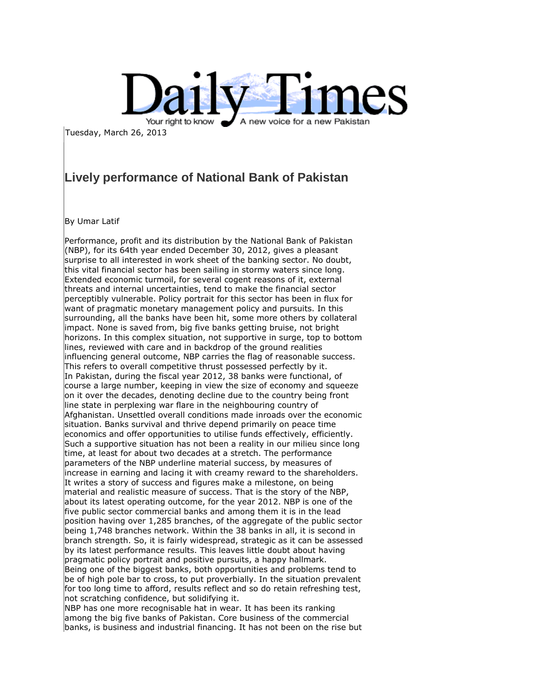

Tuesday, March 26, 2013

## **Lively performance of National Bank of Pakistan**

By Umar Latif

Performance, profit and its distribution by the National Bank of Pakistan (NBP), for its 64th year ended December 30, 2012, gives a pleasant surprise to all interested in work sheet of the banking sector. No doubt, this vital financial sector has been sailing in stormy waters since long. Extended economic turmoil, for several cogent reasons of it, external threats and internal uncertainties, tend to make the financial sector perceptibly vulnerable. Policy portrait for this sector has been in flux for want of pragmatic monetary management policy and pursuits. In this surrounding, all the banks have been hit, some more others by collateral impact. None is saved from, big five banks getting bruise, not bright horizons. In this complex situation, not supportive in surge, top to bottom lines, reviewed with care and in backdrop of the ground realities influencing general outcome, NBP carries the flag of reasonable success. This refers to overall competitive thrust possessed perfectly by it. In Pakistan, during the fiscal year 2012, 38 banks were functional, of course a large number, keeping in view the size of economy and squeeze on it over the decades, denoting decline due to the country being front line state in perplexing war flare in the neighbouring country of Afghanistan. Unsettled overall conditions made inroads over the economic situation. Banks survival and thrive depend primarily on peace time economics and offer opportunities to utilise funds effectively, efficiently. Such a supportive situation has not been a reality in our milieu since long time, at least for about two decades at a stretch. The performance parameters of the NBP underline material success, by measures of increase in earning and lacing it with creamy reward to the shareholders. It writes a story of success and figures make a milestone, on being material and realistic measure of success. That is the story of the NBP, about its latest operating outcome, for the year 2012. NBP is one of the five public sector commercial banks and among them it is in the lead position having over 1,285 branches, of the aggregate of the public sector being 1,748 branches network. Within the 38 banks in all, it is second in branch strength. So, it is fairly widespread, strategic as it can be assessed by its latest performance results. This leaves little doubt about having pragmatic policy portrait and positive pursuits, a happy hallmark. Being one of the biggest banks, both opportunities and problems tend to be of high pole bar to cross, to put proverbially. In the situation prevalent for too long time to afford, results reflect and so do retain refreshing test, not scratching confidence, but solidifying it.

NBP has one more recognisable hat in wear. It has been its ranking among the big five banks of Pakistan. Core business of the commercial banks, is business and industrial financing. It has not been on the rise but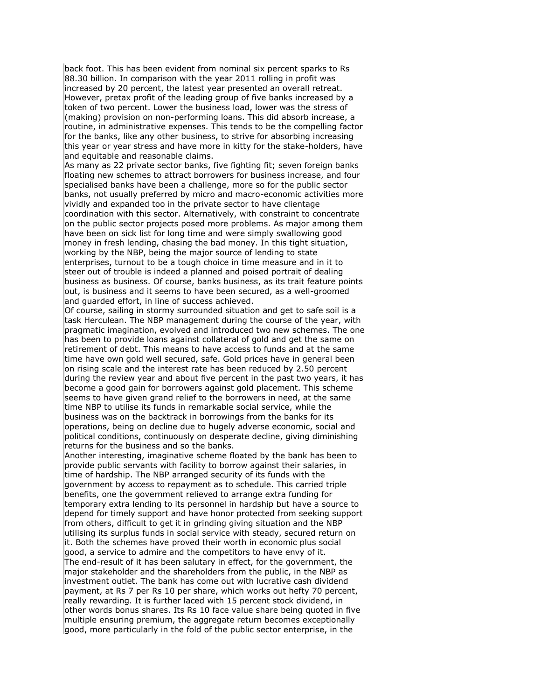back foot. This has been evident from nominal six percent sparks to Rs 88.30 billion. In comparison with the year 2011 rolling in profit was increased by 20 percent, the latest year presented an overall retreat. However, pretax profit of the leading group of five banks increased by a token of two percent. Lower the business load, lower was the stress of (making) provision on non-performing loans. This did absorb increase, a routine, in administrative expenses. This tends to be the compelling factor for the banks, like any other business, to strive for absorbing increasing this year or year stress and have more in kitty for the stake-holders, have and equitable and reasonable claims.

As many as 22 private sector banks, five fighting fit; seven foreign banks floating new schemes to attract borrowers for business increase, and four specialised banks have been a challenge, more so for the public sector banks, not usually preferred by micro and macro-economic activities more vividly and expanded too in the private sector to have clientage coordination with this sector. Alternatively, with constraint to concentrate on the public sector projects posed more problems. As major among them have been on sick list for long time and were simply swallowing good money in fresh lending, chasing the bad money. In this tight situation, working by the NBP, being the major source of lending to state enterprises, turnout to be a tough choice in time measure and in it to steer out of trouble is indeed a planned and poised portrait of dealing business as business. Of course, banks business, as its trait feature points out, is business and it seems to have been secured, as a well-groomed and quarded effort, in line of success achieved.

Of course, sailing in stormy surrounded situation and get to safe soil is a task Herculean. The NBP management during the course of the year, with pragmatic imagination, evolved and introduced two new schemes. The one has been to provide loans against collateral of gold and get the same on retirement of debt. This means to have access to funds and at the same time have own gold well secured, safe. Gold prices have in general been on rising scale and the interest rate has been reduced by 2.50 percent during the review year and about five percent in the past two years, it has become a good gain for borrowers against gold placement. This scheme seems to have given grand relief to the borrowers in need, at the same time NBP to utilise its funds in remarkable social service, while the business was on the backtrack in borrowings from the banks for its operations, being on decline due to hugely adverse economic, social and political conditions, continuously on desperate decline, giving diminishing returns for the business and so the banks.

Another interesting, imaginative scheme floated by the bank has been to provide public servants with facility to borrow against their salaries, in time of hardship. The NBP arranged security of its funds with the government by access to repayment as to schedule. This carried triple benefits, one the government relieved to arrange extra funding for temporary extra lending to its personnel in hardship but have a source to depend for timely support and have honor protected from seeking support from others, difficult to get it in grinding giving situation and the NBP utilising its surplus funds in social service with steady, secured return on it. Both the schemes have proved their worth in economic plus social good, a service to admire and the competitors to have envy of it. The end-result of it has been salutary in effect, for the government, the major stakeholder and the shareholders from the public, in the NBP as investment outlet. The bank has come out with lucrative cash dividend payment, at Rs 7 per Rs 10 per share, which works out hefty 70 percent, really rewarding. It is further laced with 15 percent stock dividend, in other words bonus shares. Its Rs 10 face value share being quoted in five multiple ensuring premium, the aggregate return becomes exceptionally good, more particularly in the fold of the public sector enterprise, in the